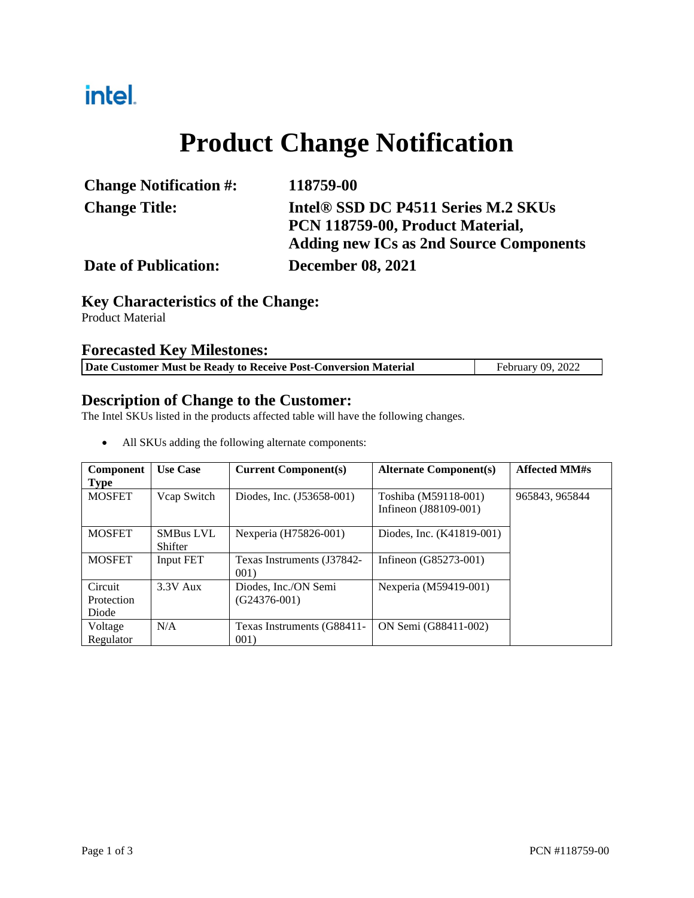## intel.

# **Product Change Notification**

| <b>Change Notification #:</b> | 118759-00                                      |  |
|-------------------------------|------------------------------------------------|--|
| <b>Change Title:</b>          | Intel® SSD DC P4511 Series M.2 SKUs            |  |
|                               | PCN 118759-00, Product Material,               |  |
|                               | <b>Adding new ICs as 2nd Source Components</b> |  |
| <b>Date of Publication:</b>   | <b>December 08, 2021</b>                       |  |

## **Key Characteristics of the Change:**

Product Material

#### **Forecasted Key Milestones:**

| Date Customer Must be Ready to Receive Post-Conversion Material<br>February 09, 2022 |
|--------------------------------------------------------------------------------------|
|--------------------------------------------------------------------------------------|

#### **Description of Change to the Customer:**

The Intel SKUs listed in the products affected table will have the following changes.

| Component<br><b>Type</b>       | <b>Use Case</b>                    | <b>Current Component(s)</b>            | <b>Alternate Component(s)</b>                 | <b>Affected MM#s</b> |
|--------------------------------|------------------------------------|----------------------------------------|-----------------------------------------------|----------------------|
| <b>MOSFET</b>                  | Vcap Switch                        | Diodes, Inc. (J53658-001)              | Toshiba (M59118-001)<br>Infineon (J88109-001) | 965843, 965844       |
| <b>MOSFET</b>                  | <b>SMBus LVL</b><br><b>Shifter</b> | Nexperia (H75826-001)                  | Diodes, Inc. (K41819-001)                     |                      |
| <b>MOSFET</b>                  | Input FET                          | Texas Instruments (J37842-<br>001)     | Infineon (G85273-001)                         |                      |
| Circuit<br>Protection<br>Diode | $3.3V$ Aux                         | Diodes, Inc./ON Semi<br>$(G24376-001)$ | Nexperia (M59419-001)                         |                      |
| Voltage<br>Regulator           | N/A                                | Texas Instruments (G88411-<br>001)     | ON Semi (G88411-002)                          |                      |

All SKUs adding the following alternate components: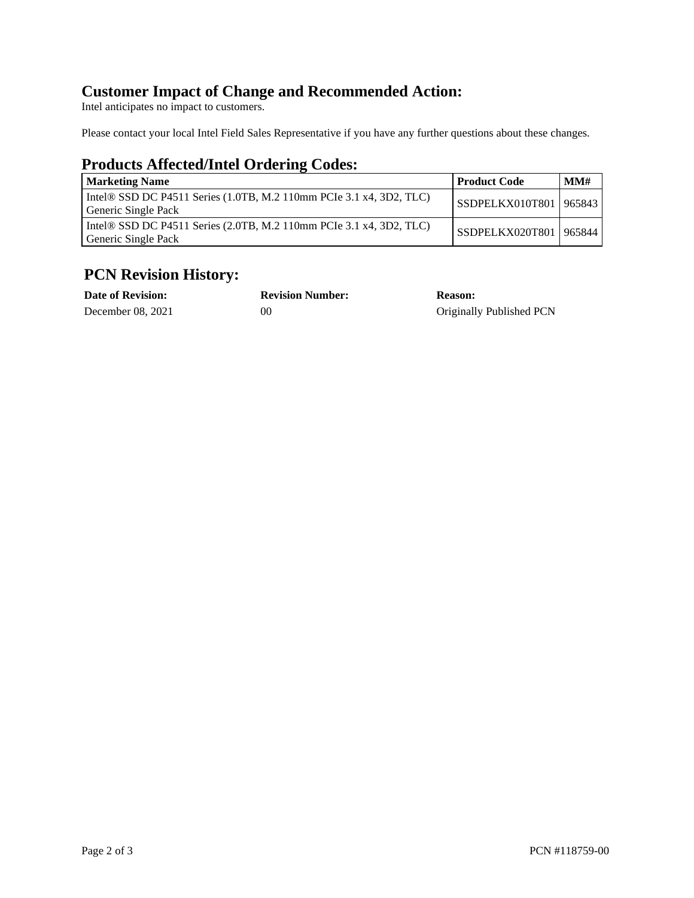#### **Customer Impact of Change and Recommended Action:**

Intel anticipates no impact to customers.

Please contact your local Intel Field Sales Representative if you have any further questions about these changes.

## **Products Affected/Intel Ordering Codes:**

| <b>Marketing Name</b>                                                                      | Product Code             | MM# |
|--------------------------------------------------------------------------------------------|--------------------------|-----|
| Intel® SSD DC P4511 Series (1.0TB, M.2 110mm PCIe 3.1 x4, 3D2, TLC)<br>Generic Single Pack | SSDPELKX010T801   965843 |     |
| Intel® SSD DC P4511 Series (2.0TB, M.2 110mm PCIe 3.1 x4, 3D2, TLC)<br>Generic Single Pack | SSDPELKX020T801   965844 |     |

### **PCN Revision History:**

| <b>Date of Revision:</b> | <b>Revision Number:</b> | <b>Reason:</b>           |
|--------------------------|-------------------------|--------------------------|
| December 08, 2021        | 00                      | Originally Published PCN |